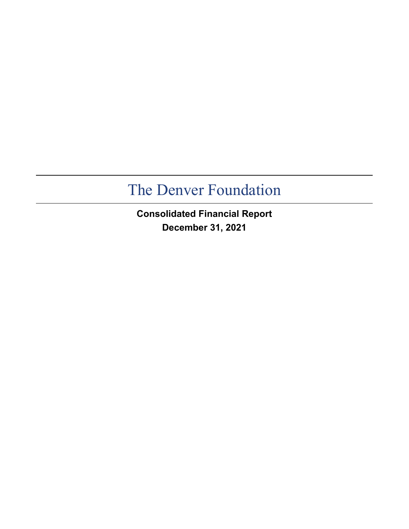**Consolidated Financial Report December 31, 2021**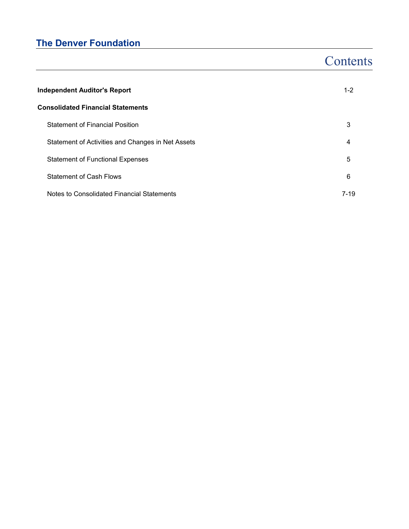## **Contents**

| <b>Independent Auditor's Report</b>               | $1 - 2$ |
|---------------------------------------------------|---------|
| <b>Consolidated Financial Statements</b>          |         |
| <b>Statement of Financial Position</b>            | 3       |
| Statement of Activities and Changes in Net Assets | 4       |
| <b>Statement of Functional Expenses</b>           | 5       |
| <b>Statement of Cash Flows</b>                    | 6       |
| Notes to Consolidated Financial Statements        | 7-19    |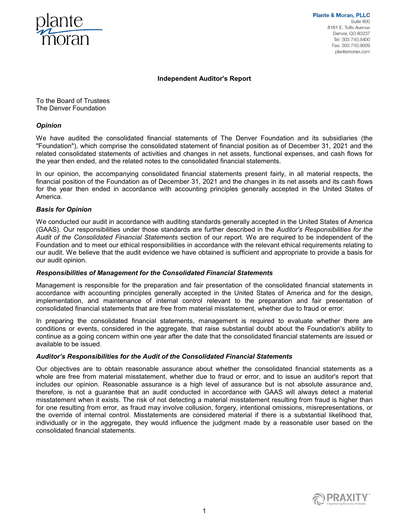

**Plante & Moran, PLLC** Suite 600 8181 E. Tufts Avenue Denver, CO 80237 Tel: 303.740.9400 Fax: 303.740.9009 plantemoran.com

#### **Independent Auditor's Report**

To the Board of Trustees The Denver Foundation

#### *Opinion*

We have audited the consolidated financial statements of The Denver Foundation and its subsidiaries (the "Foundation"), which comprise the consolidated statement of financial position as of December 31, 2021 and the related consolidated statements of activities and changes in net assets, functional expenses, and cash flows for the year then ended, and the related notes to the consolidated financial statements.

In our opinion, the accompanying consolidated financial statements present fairly, in all material respects, the financial position of the Foundation as of December 31, 2021 and the changes in its net assets and its cash flows for the year then ended in accordance with accounting principles generally accepted in the United States of America.

#### *Basis for Opinion*

We conducted our audit in accordance with auditing standards generally accepted in the United States of America (GAAS). Our responsibilities under those standards are further described in the *Auditor's Responsibilities for the Audit of the Consolidated Financial Statements* section of our report. We are required to be independent of the Foundation and to meet our ethical responsibilities in accordance with the relevant ethical requirements relating to our audit. We believe that the audit evidence we have obtained is sufficient and appropriate to provide a basis for our audit opinion.

#### *Responsibilities of Management for the Consolidated Financial Statements*

Management is responsible for the preparation and fair presentation of the consolidated financial statements in accordance with accounting principles generally accepted in the United States of America and for the design, implementation, and maintenance of internal control relevant to the preparation and fair presentation of consolidated financial statements that are free from material misstatement, whether due to fraud or error.

In preparing the consolidated financial statements, management is required to evaluate whether there are conditions or events, considered in the aggregate, that raise substantial doubt about the Foundation's ability to continue as a going concern within one year after the date that the consolidated financial statements are issued or available to be issued.

#### *Auditor's Responsibilities for the Audit of the Consolidated Financial Statements*

Our objectives are to obtain reasonable assurance about whether the consolidated financial statements as a whole are free from material misstatement, whether due to fraud or error, and to issue an auditor's report that includes our opinion. Reasonable assurance is a high level of assurance but is not absolute assurance and, therefore, is not a guarantee that an audit conducted in accordance with GAAS will always detect a material misstatement when it exists. The risk of not detecting a material misstatement resulting from fraud is higher than for one resulting from error, as fraud may involve collusion, forgery, intentional omissions, misrepresentations, or the override of internal control. Misstatements are considered material if there is a substantial likelihood that, individually or in the aggregate, they would influence the judgment made by a reasonable user based on the consolidated financial statements.

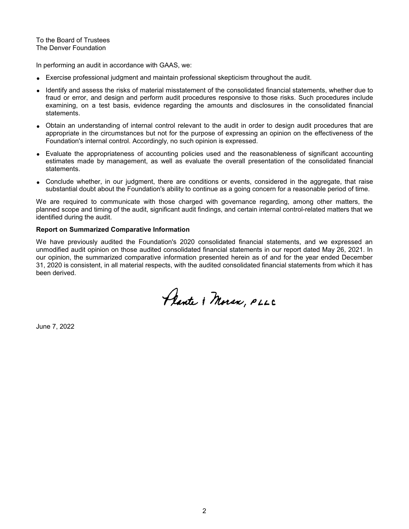To the Board of Trustees The Denver Foundation

In performing an audit in accordance with GAAS, we:

- Exercise professional judgment and maintain professional skepticism throughout the audit.
- Identify and assess the risks of material misstatement of the consolidated financial statements, whether due to fraud or error, and design and perform audit procedures responsive to those risks. Such procedures include examining, on a test basis, evidence regarding the amounts and disclosures in the consolidated financial statements.
- Obtain an understanding of internal control relevant to the audit in order to design audit procedures that are appropriate in the circumstances but not for the purpose of expressing an opinion on the effectiveness of the Foundation's internal control. Accordingly, no such opinion is expressed.
- Evaluate the appropriateness of accounting policies used and the reasonableness of significant accounting estimates made by management, as well as evaluate the overall presentation of the consolidated financial statements.
- Conclude whether, in our judgment, there are conditions or events, considered in the aggregate, that raise substantial doubt about the Foundation's ability to continue as a going concern for a reasonable period of time.

We are required to communicate with those charged with governance regarding, among other matters, the planned scope and timing of the audit, significant audit findings, and certain internal control-related matters that we identified during the audit.

#### **Report on Summarized Comparative Information**

We have previously audited the Foundation's 2020 consolidated financial statements, and we expressed an unmodified audit opinion on those audited consolidated financial statements in our report dated May 26, 2021. In our opinion, the summarized comparative information presented herein as of and for the year ended December 31, 2020 is consistent, in all material respects, with the audited consolidated financial statements from which it has been derived.

Plante & Moran, PLLC

June 7, 2022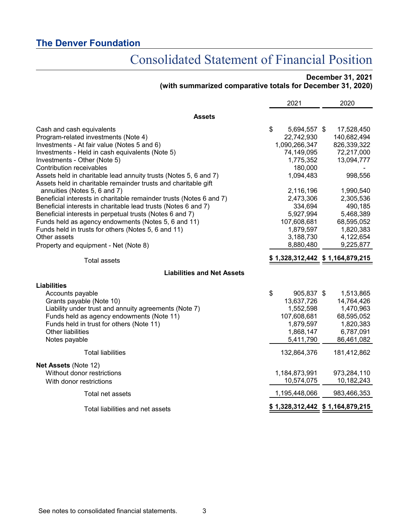## Consolidated Statement of Financial Position

## **December 31, 2021 (with summarized comparative totals for December 31, 2020)**

|                                                                     | 2021               | 2020        |
|---------------------------------------------------------------------|--------------------|-------------|
| <b>Assets</b>                                                       |                    |             |
| Cash and cash equivalents                                           | \$<br>5,694,557 \$ | 17,528,450  |
| Program-related investments (Note 4)                                | 22,742,930         | 140,682,494 |
| Investments - At fair value (Notes 5 and 6)                         | 1,090,266,347      | 826,339,322 |
| Investments - Held in cash equivalents (Note 5)                     | 74,149,095         | 72,217,000  |
| Investments - Other (Note 5)                                        | 1,775,352          | 13,094,777  |
| Contribution receivables                                            | 180,000            |             |
| Assets held in charitable lead annuity trusts (Notes 5, 6 and 7)    | 1,094,483          | 998,556     |
| Assets held in charitable remainder trusts and charitable gift      |                    |             |
| annuities (Notes 5, 6 and 7)                                        | 2,116,196          | 1,990,540   |
| Beneficial interests in charitable remainder trusts (Notes 6 and 7) | 2,473,306          | 2,305,536   |
| Beneficial interests in charitable lead trusts (Notes 6 and 7)      | 334,694            | 490,185     |
| Beneficial interests in perpetual trusts (Notes 6 and 7)            | 5,927,994          | 5,468,389   |
| Funds held as agency endowments (Notes 5, 6 and 11)                 | 107,608,681        | 68,595,052  |
| Funds held in trusts for others (Notes 5, 6 and 11)                 | 1,879,597          | 1,820,383   |
| Other assets                                                        | 3,188,730          | 4,122,654   |
| Property and equipment - Net (Note 8)                               | 8,880,480          | 9,225,877   |
| <b>Total assets</b>                                                 |                    |             |
| <b>Liabilities and Net Assets</b>                                   |                    |             |
| <b>Liabilities</b>                                                  |                    |             |
| Accounts payable                                                    | \$<br>905,837 \$   | 1,513,865   |
| Grants payable (Note 10)                                            | 13,637,726         | 14,764,426  |
| Liability under trust and annuity agreements (Note 7)               | 1,552,598          | 1,470,963   |
| Funds held as agency endowments (Note 11)                           | 107,608,681        | 68,595,052  |
| Funds held in trust for others (Note 11)                            | 1,879,597          | 1,820,383   |
| Other liabilities                                                   | 1,868,147          | 6,787,091   |
| Notes payable                                                       | 5,411,790          | 86,461,082  |
| <b>Total liabilities</b>                                            | 132,864,376        | 181,412,862 |
| Net Assets (Note 12)                                                |                    |             |
| Without donor restrictions                                          | 1,184,873,991      | 973,284,110 |
| With donor restrictions                                             | 10,574,075         | 10,182,243  |
| Total net assets                                                    | 1,195,448,066      | 983,466,353 |
| Total liabilities and net assets                                    |                    |             |
|                                                                     |                    |             |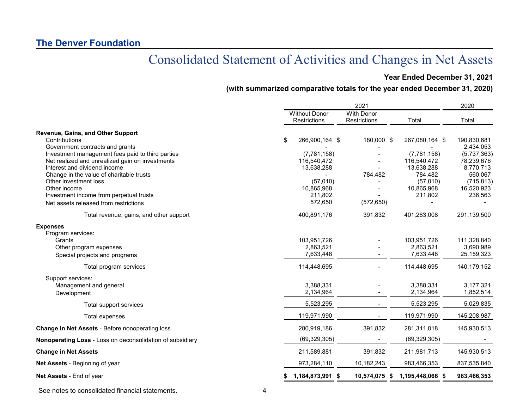## Consolidated Statement of Activities and Changes in Net Assets

## **Year Ended December 31, 2021**

## **(with summarized comparative totals for the year ended December 31, 2020)**

|                                                           |                                             |                                          | 2020                     |             |
|-----------------------------------------------------------|---------------------------------------------|------------------------------------------|--------------------------|-------------|
|                                                           | <b>Without Donor</b><br><b>Restrictions</b> | <b>With Donor</b><br><b>Restrictions</b> | Total                    | Total       |
| Revenue, Gains, and Other Support                         |                                             |                                          |                          |             |
| Contributions                                             | 266,900,164 \$<br>\$                        | 180,000 \$                               | 267,080,164 \$           | 190,830,681 |
| Government contracts and grants                           |                                             |                                          |                          | 2,434,053   |
| Investment management fees paid to third parties          | (7, 781, 158)                               |                                          | (7,781,158)              | (5,737,363) |
| Net realized and unrealized gain on investments           | 116,540,472                                 |                                          | 116,540,472              | 78,239,676  |
| Interest and dividend income                              | 13,638,288                                  |                                          | 13,638,288               | 8,770,713   |
| Change in the value of charitable trusts                  |                                             | 784,482                                  | 784,482                  | 560,067     |
| Other investment loss                                     | (57,010)                                    |                                          | (57,010)                 | (715, 813)  |
| Other income                                              | 10,865,968                                  |                                          | 10,865,968               | 16,520,923  |
| Investment income from perpetual trusts                   | 211,802                                     |                                          | 211,802                  | 236,563     |
| Net assets released from restrictions                     | 572,650                                     | (572, 650)                               |                          |             |
| Total revenue, gains, and other support                   | 400,891,176                                 | 391,832                                  | 401,283,008              | 291,139,500 |
| <b>Expenses</b>                                           |                                             |                                          |                          |             |
| Program services:                                         |                                             |                                          |                          |             |
| Grants                                                    | 103,951,726                                 |                                          | 103,951,726              | 111,328,840 |
| Other program expenses                                    | 2,863,521                                   |                                          | 2,863,521                | 3,690,989   |
| Special projects and programs                             | 7,633,448                                   |                                          | 7,633,448                | 25,159,323  |
| Total program services                                    | 114,448,695                                 |                                          | 114,448,695              | 140,179,152 |
| Support services:                                         |                                             |                                          |                          |             |
| Management and general                                    | 3,388,331                                   |                                          | 3,388,331                | 3,177,321   |
| Development                                               | 2,134,964                                   |                                          | 2,134,964                | 1,852,514   |
| Total support services                                    | 5,523,295                                   |                                          | 5,523,295                | 5,029,835   |
| Total expenses                                            | 119,971,990                                 |                                          | 119,971,990              | 145,208,987 |
| Change in Net Assets - Before nonoperating loss           | 280,919,186                                 | 391,832                                  | 281,311,018              | 145,930,513 |
| Nonoperating Loss - Loss on deconsolidation of subsidiary | (69, 329, 305)                              |                                          | (69, 329, 305)           |             |
| <b>Change in Net Assets</b>                               | 211,589,881                                 | 391,832                                  | 211,981,713              | 145,930,513 |
| Net Assets - Beginning of year                            | 973,284,110                                 | 10,182,243                               | 983,466,353              | 837,535,840 |
| Net Assets - End of year                                  | 1,184,873,991 \$                            | 10,574,075                               | 1,195,448,066 \$<br>- 56 | 983,466,353 |

See notes to consolidated financial statements. 4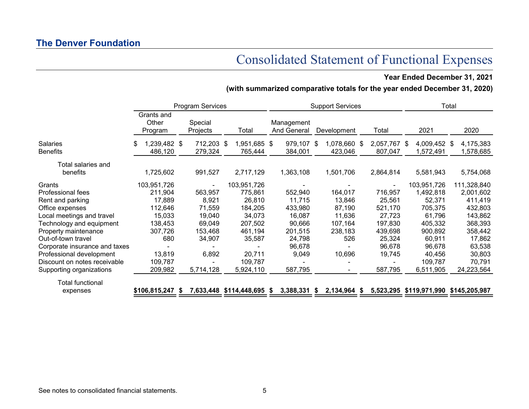## Consolidated Statement of Functional Expenses

## **Year Ended December 31, 2021**

## **(with summarized comparative totals for the year ended December 31, 2020)**

|                                    |                                | <b>Program Services</b> |                         | <b>Support Services</b>   |                      |                               | Total                     |                        |  |  |
|------------------------------------|--------------------------------|-------------------------|-------------------------|---------------------------|----------------------|-------------------------------|---------------------------|------------------------|--|--|
|                                    | Grants and<br>Other<br>Program | Special<br>Projects     | Total                   | Management<br>And General | Development          | Total                         | 2021                      | 2020                   |  |  |
| <b>Salaries</b><br><b>Benefits</b> | 1,239,482 \$<br>S<br>486,120   | 712,203 \$<br>279,324   | 1,951,685 \$<br>765,444 | 979,107 \$<br>384,001     | 1,078,660<br>423,046 | 2,057,767 \$<br>\$<br>807,047 | 4,009,452 \$<br>1,572,491 | 4,175,383<br>1,578,685 |  |  |
| Total salaries and                 |                                |                         |                         |                           |                      |                               |                           |                        |  |  |
| benefits                           | 1,725,602                      | 991,527                 | 2,717,129               | 1,363,108                 | 1,501,706            | 2,864,814                     | 5,581,943                 | 5,754,068              |  |  |
| Grants                             | 103,951,726                    |                         | 103,951,726             |                           |                      |                               | 103,951,726               | 111,328,840            |  |  |
| Professional fees                  | 211,904                        | 563,957                 | 775,861                 | 552,940                   | 164,017              | 716,957                       | 1,492,818                 | 2,001,602              |  |  |
| Rent and parking                   | 17,889                         | 8,921                   | 26,810                  | 11,715                    | 13,846               | 25,561                        | 52,371                    | 411,419                |  |  |
| Office expenses                    | 112,646                        | 71,559                  | 184,205                 | 433,980                   | 87,190               | 521,170                       | 705,375                   | 432,803                |  |  |
| Local meetings and travel          | 15,033                         | 19,040                  | 34,073                  | 16,087                    | 11,636               | 27,723                        | 61,796                    | 143,862                |  |  |
| Technology and equipment           | 138,453                        | 69,049                  | 207,502                 | 90,666                    | 107,164              | 197,830                       | 405,332                   | 368,393                |  |  |
| Property maintenance               | 307,726                        | 153,468                 | 461,194                 | 201,515                   | 238,183              | 439,698                       | 900,892                   | 358,442                |  |  |
| Out-of-town travel                 | 680                            | 34,907                  | 35,587                  | 24,798                    | 526                  | 25,324                        | 60,911                    | 17,862                 |  |  |
| Corporate insurance and taxes      |                                |                         |                         | 96,678                    |                      | 96,678                        | 96,678                    | 63,538                 |  |  |
| Professional development           | 13,819                         | 6,892                   | 20,711                  | 9,049                     | 10,696               | 19,745                        | 40,456                    | 30,803                 |  |  |
| Discount on notes receivable       | 109,787                        |                         | 109,787                 |                           |                      |                               | 109,787                   | 70,791                 |  |  |
| Supporting organizations           | 209,982                        | 5,714,128               | 5,924,110               | 587,795                   |                      | 587,795                       | 6,511,905                 | 24,223,564             |  |  |
| <b>Total functional</b>            |                                |                         |                         |                           |                      |                               |                           |                        |  |  |
| expenses                           | \$106,815,247                  | 7,633,448<br>S          | \$114,448,695           | 3,388,331<br>- 56         | 2,134,964<br>ъ.      | 5,523,295<br>- \$             | \$119,971,990             | \$145,205,987          |  |  |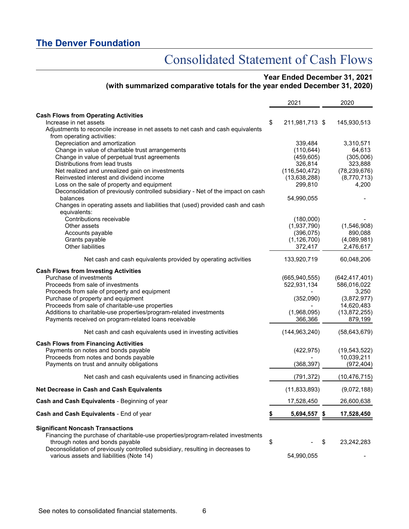## Consolidated Statement of Cash Flows

### **Year Ended December 31, 2021 (with summarized comparative totals for the year ended December 31, 2020)**

| <b>Cash Flows from Operating Activities</b><br>Increase in net assets<br>211,981,713 \$<br>\$<br>145,930,513<br>Adjustments to reconcile increase in net assets to net cash and cash equivalents<br>from operating activities:<br>Depreciation and amortization<br>339,484<br>3,310,571<br>Change in value of charitable trust arrangements<br>(110, 644)<br>64,613<br>Change in value of perpetual trust agreements<br>(459, 605)<br>(305,006)<br>Distributions from lead trusts<br>326,814<br>323,888<br>Net realized and unrealized gain on investments<br>(116, 540, 472)<br>(78, 239, 676)<br>Reinvested interest and dividend income<br>(13,638,288)<br>(8,770,713)<br>299,810<br>4,200<br>Loss on the sale of property and equipment<br>Deconsolidation of previously controlled subsidiary - Net of the impact on cash<br>balances<br>54,990,055<br>Changes in operating assets and liabilities that (used) provided cash and cash<br>equivalents:<br>Contributions receivable<br>(180,000)<br>Other assets<br>(1,937,790)<br>(1,546,908)<br>890,088<br>Accounts payable<br>(396, 075)<br>Grants payable<br>(4,089,981)<br>(1, 126, 700)<br>Other liabilities<br>372,417<br>2,476,617<br>133,920,719<br>Net cash and cash equivalents provided by operating activities<br>60,048,206<br><b>Cash Flows from Investing Activities</b><br>Purchase of investments<br>(665, 940, 555)<br>(642, 417, 401)<br>Proceeds from sale of investments<br>522,931,134<br>586,016,022<br>Proceeds from sale of property and equipment<br>3,250<br>Purchase of property and equipment<br>(352,090)<br>(3,872,977)<br>14,620,483<br>Proceeds from sale of charitable-use properties<br>Additions to charitable-use properties/program-related investments<br>(13, 872, 255)<br>(1,968,095)<br>Payments received on program-related loans receivable<br>879,199<br>366,366<br>(144, 963, 240)<br>Net cash and cash equivalents used in investing activities<br>(58, 643, 679)<br><b>Cash Flows from Financing Activities</b><br>Payments on notes and bonds payable<br>(422, 975)<br>(19, 543, 522)<br>Proceeds from notes and bonds payable<br>10,039,211<br>Payments on trust and annuity obligations<br>(368, 397)<br>(972, 404)<br>Net cash and cash equivalents used in financing activities<br>(10, 476, 715)<br>(791,372)<br>(11, 833, 893)<br>Net Decrease in Cash and Cash Equivalents<br>(9,072,188)<br>17,528,450<br>26,600,638<br>Cash and Cash Equivalents - Beginning of year<br>Cash and Cash Equivalents - End of year<br>5,694,557 \$<br>17,528,450<br><b>Significant Noncash Transactions</b><br>Financing the purchase of charitable-use properties/program-related investments<br>through notes and bonds payable<br>\$<br>23,242,283<br>\$ |  | 2021 | 2020 |
|--------------------------------------------------------------------------------------------------------------------------------------------------------------------------------------------------------------------------------------------------------------------------------------------------------------------------------------------------------------------------------------------------------------------------------------------------------------------------------------------------------------------------------------------------------------------------------------------------------------------------------------------------------------------------------------------------------------------------------------------------------------------------------------------------------------------------------------------------------------------------------------------------------------------------------------------------------------------------------------------------------------------------------------------------------------------------------------------------------------------------------------------------------------------------------------------------------------------------------------------------------------------------------------------------------------------------------------------------------------------------------------------------------------------------------------------------------------------------------------------------------------------------------------------------------------------------------------------------------------------------------------------------------------------------------------------------------------------------------------------------------------------------------------------------------------------------------------------------------------------------------------------------------------------------------------------------------------------------------------------------------------------------------------------------------------------------------------------------------------------------------------------------------------------------------------------------------------------------------------------------------------------------------------------------------------------------------------------------------------------------------------------------------------------------------------------------------------------------------------------------------------------------------------------------------------------------------------------------------------------------------------------------------------------------------------------------------------------------------------------------------|--|------|------|
|                                                                                                                                                                                                                                                                                                                                                                                                                                                                                                                                                                                                                                                                                                                                                                                                                                                                                                                                                                                                                                                                                                                                                                                                                                                                                                                                                                                                                                                                                                                                                                                                                                                                                                                                                                                                                                                                                                                                                                                                                                                                                                                                                                                                                                                                                                                                                                                                                                                                                                                                                                                                                                                                                                                                                        |  |      |      |
|                                                                                                                                                                                                                                                                                                                                                                                                                                                                                                                                                                                                                                                                                                                                                                                                                                                                                                                                                                                                                                                                                                                                                                                                                                                                                                                                                                                                                                                                                                                                                                                                                                                                                                                                                                                                                                                                                                                                                                                                                                                                                                                                                                                                                                                                                                                                                                                                                                                                                                                                                                                                                                                                                                                                                        |  |      |      |
|                                                                                                                                                                                                                                                                                                                                                                                                                                                                                                                                                                                                                                                                                                                                                                                                                                                                                                                                                                                                                                                                                                                                                                                                                                                                                                                                                                                                                                                                                                                                                                                                                                                                                                                                                                                                                                                                                                                                                                                                                                                                                                                                                                                                                                                                                                                                                                                                                                                                                                                                                                                                                                                                                                                                                        |  |      |      |
|                                                                                                                                                                                                                                                                                                                                                                                                                                                                                                                                                                                                                                                                                                                                                                                                                                                                                                                                                                                                                                                                                                                                                                                                                                                                                                                                                                                                                                                                                                                                                                                                                                                                                                                                                                                                                                                                                                                                                                                                                                                                                                                                                                                                                                                                                                                                                                                                                                                                                                                                                                                                                                                                                                                                                        |  |      |      |
|                                                                                                                                                                                                                                                                                                                                                                                                                                                                                                                                                                                                                                                                                                                                                                                                                                                                                                                                                                                                                                                                                                                                                                                                                                                                                                                                                                                                                                                                                                                                                                                                                                                                                                                                                                                                                                                                                                                                                                                                                                                                                                                                                                                                                                                                                                                                                                                                                                                                                                                                                                                                                                                                                                                                                        |  |      |      |
|                                                                                                                                                                                                                                                                                                                                                                                                                                                                                                                                                                                                                                                                                                                                                                                                                                                                                                                                                                                                                                                                                                                                                                                                                                                                                                                                                                                                                                                                                                                                                                                                                                                                                                                                                                                                                                                                                                                                                                                                                                                                                                                                                                                                                                                                                                                                                                                                                                                                                                                                                                                                                                                                                                                                                        |  |      |      |
|                                                                                                                                                                                                                                                                                                                                                                                                                                                                                                                                                                                                                                                                                                                                                                                                                                                                                                                                                                                                                                                                                                                                                                                                                                                                                                                                                                                                                                                                                                                                                                                                                                                                                                                                                                                                                                                                                                                                                                                                                                                                                                                                                                                                                                                                                                                                                                                                                                                                                                                                                                                                                                                                                                                                                        |  |      |      |
|                                                                                                                                                                                                                                                                                                                                                                                                                                                                                                                                                                                                                                                                                                                                                                                                                                                                                                                                                                                                                                                                                                                                                                                                                                                                                                                                                                                                                                                                                                                                                                                                                                                                                                                                                                                                                                                                                                                                                                                                                                                                                                                                                                                                                                                                                                                                                                                                                                                                                                                                                                                                                                                                                                                                                        |  |      |      |
|                                                                                                                                                                                                                                                                                                                                                                                                                                                                                                                                                                                                                                                                                                                                                                                                                                                                                                                                                                                                                                                                                                                                                                                                                                                                                                                                                                                                                                                                                                                                                                                                                                                                                                                                                                                                                                                                                                                                                                                                                                                                                                                                                                                                                                                                                                                                                                                                                                                                                                                                                                                                                                                                                                                                                        |  |      |      |
|                                                                                                                                                                                                                                                                                                                                                                                                                                                                                                                                                                                                                                                                                                                                                                                                                                                                                                                                                                                                                                                                                                                                                                                                                                                                                                                                                                                                                                                                                                                                                                                                                                                                                                                                                                                                                                                                                                                                                                                                                                                                                                                                                                                                                                                                                                                                                                                                                                                                                                                                                                                                                                                                                                                                                        |  |      |      |
|                                                                                                                                                                                                                                                                                                                                                                                                                                                                                                                                                                                                                                                                                                                                                                                                                                                                                                                                                                                                                                                                                                                                                                                                                                                                                                                                                                                                                                                                                                                                                                                                                                                                                                                                                                                                                                                                                                                                                                                                                                                                                                                                                                                                                                                                                                                                                                                                                                                                                                                                                                                                                                                                                                                                                        |  |      |      |
|                                                                                                                                                                                                                                                                                                                                                                                                                                                                                                                                                                                                                                                                                                                                                                                                                                                                                                                                                                                                                                                                                                                                                                                                                                                                                                                                                                                                                                                                                                                                                                                                                                                                                                                                                                                                                                                                                                                                                                                                                                                                                                                                                                                                                                                                                                                                                                                                                                                                                                                                                                                                                                                                                                                                                        |  |      |      |
|                                                                                                                                                                                                                                                                                                                                                                                                                                                                                                                                                                                                                                                                                                                                                                                                                                                                                                                                                                                                                                                                                                                                                                                                                                                                                                                                                                                                                                                                                                                                                                                                                                                                                                                                                                                                                                                                                                                                                                                                                                                                                                                                                                                                                                                                                                                                                                                                                                                                                                                                                                                                                                                                                                                                                        |  |      |      |
|                                                                                                                                                                                                                                                                                                                                                                                                                                                                                                                                                                                                                                                                                                                                                                                                                                                                                                                                                                                                                                                                                                                                                                                                                                                                                                                                                                                                                                                                                                                                                                                                                                                                                                                                                                                                                                                                                                                                                                                                                                                                                                                                                                                                                                                                                                                                                                                                                                                                                                                                                                                                                                                                                                                                                        |  |      |      |
|                                                                                                                                                                                                                                                                                                                                                                                                                                                                                                                                                                                                                                                                                                                                                                                                                                                                                                                                                                                                                                                                                                                                                                                                                                                                                                                                                                                                                                                                                                                                                                                                                                                                                                                                                                                                                                                                                                                                                                                                                                                                                                                                                                                                                                                                                                                                                                                                                                                                                                                                                                                                                                                                                                                                                        |  |      |      |
|                                                                                                                                                                                                                                                                                                                                                                                                                                                                                                                                                                                                                                                                                                                                                                                                                                                                                                                                                                                                                                                                                                                                                                                                                                                                                                                                                                                                                                                                                                                                                                                                                                                                                                                                                                                                                                                                                                                                                                                                                                                                                                                                                                                                                                                                                                                                                                                                                                                                                                                                                                                                                                                                                                                                                        |  |      |      |
|                                                                                                                                                                                                                                                                                                                                                                                                                                                                                                                                                                                                                                                                                                                                                                                                                                                                                                                                                                                                                                                                                                                                                                                                                                                                                                                                                                                                                                                                                                                                                                                                                                                                                                                                                                                                                                                                                                                                                                                                                                                                                                                                                                                                                                                                                                                                                                                                                                                                                                                                                                                                                                                                                                                                                        |  |      |      |
|                                                                                                                                                                                                                                                                                                                                                                                                                                                                                                                                                                                                                                                                                                                                                                                                                                                                                                                                                                                                                                                                                                                                                                                                                                                                                                                                                                                                                                                                                                                                                                                                                                                                                                                                                                                                                                                                                                                                                                                                                                                                                                                                                                                                                                                                                                                                                                                                                                                                                                                                                                                                                                                                                                                                                        |  |      |      |
|                                                                                                                                                                                                                                                                                                                                                                                                                                                                                                                                                                                                                                                                                                                                                                                                                                                                                                                                                                                                                                                                                                                                                                                                                                                                                                                                                                                                                                                                                                                                                                                                                                                                                                                                                                                                                                                                                                                                                                                                                                                                                                                                                                                                                                                                                                                                                                                                                                                                                                                                                                                                                                                                                                                                                        |  |      |      |
|                                                                                                                                                                                                                                                                                                                                                                                                                                                                                                                                                                                                                                                                                                                                                                                                                                                                                                                                                                                                                                                                                                                                                                                                                                                                                                                                                                                                                                                                                                                                                                                                                                                                                                                                                                                                                                                                                                                                                                                                                                                                                                                                                                                                                                                                                                                                                                                                                                                                                                                                                                                                                                                                                                                                                        |  |      |      |
|                                                                                                                                                                                                                                                                                                                                                                                                                                                                                                                                                                                                                                                                                                                                                                                                                                                                                                                                                                                                                                                                                                                                                                                                                                                                                                                                                                                                                                                                                                                                                                                                                                                                                                                                                                                                                                                                                                                                                                                                                                                                                                                                                                                                                                                                                                                                                                                                                                                                                                                                                                                                                                                                                                                                                        |  |      |      |
|                                                                                                                                                                                                                                                                                                                                                                                                                                                                                                                                                                                                                                                                                                                                                                                                                                                                                                                                                                                                                                                                                                                                                                                                                                                                                                                                                                                                                                                                                                                                                                                                                                                                                                                                                                                                                                                                                                                                                                                                                                                                                                                                                                                                                                                                                                                                                                                                                                                                                                                                                                                                                                                                                                                                                        |  |      |      |
|                                                                                                                                                                                                                                                                                                                                                                                                                                                                                                                                                                                                                                                                                                                                                                                                                                                                                                                                                                                                                                                                                                                                                                                                                                                                                                                                                                                                                                                                                                                                                                                                                                                                                                                                                                                                                                                                                                                                                                                                                                                                                                                                                                                                                                                                                                                                                                                                                                                                                                                                                                                                                                                                                                                                                        |  |      |      |
|                                                                                                                                                                                                                                                                                                                                                                                                                                                                                                                                                                                                                                                                                                                                                                                                                                                                                                                                                                                                                                                                                                                                                                                                                                                                                                                                                                                                                                                                                                                                                                                                                                                                                                                                                                                                                                                                                                                                                                                                                                                                                                                                                                                                                                                                                                                                                                                                                                                                                                                                                                                                                                                                                                                                                        |  |      |      |
|                                                                                                                                                                                                                                                                                                                                                                                                                                                                                                                                                                                                                                                                                                                                                                                                                                                                                                                                                                                                                                                                                                                                                                                                                                                                                                                                                                                                                                                                                                                                                                                                                                                                                                                                                                                                                                                                                                                                                                                                                                                                                                                                                                                                                                                                                                                                                                                                                                                                                                                                                                                                                                                                                                                                                        |  |      |      |
|                                                                                                                                                                                                                                                                                                                                                                                                                                                                                                                                                                                                                                                                                                                                                                                                                                                                                                                                                                                                                                                                                                                                                                                                                                                                                                                                                                                                                                                                                                                                                                                                                                                                                                                                                                                                                                                                                                                                                                                                                                                                                                                                                                                                                                                                                                                                                                                                                                                                                                                                                                                                                                                                                                                                                        |  |      |      |
|                                                                                                                                                                                                                                                                                                                                                                                                                                                                                                                                                                                                                                                                                                                                                                                                                                                                                                                                                                                                                                                                                                                                                                                                                                                                                                                                                                                                                                                                                                                                                                                                                                                                                                                                                                                                                                                                                                                                                                                                                                                                                                                                                                                                                                                                                                                                                                                                                                                                                                                                                                                                                                                                                                                                                        |  |      |      |
|                                                                                                                                                                                                                                                                                                                                                                                                                                                                                                                                                                                                                                                                                                                                                                                                                                                                                                                                                                                                                                                                                                                                                                                                                                                                                                                                                                                                                                                                                                                                                                                                                                                                                                                                                                                                                                                                                                                                                                                                                                                                                                                                                                                                                                                                                                                                                                                                                                                                                                                                                                                                                                                                                                                                                        |  |      |      |
|                                                                                                                                                                                                                                                                                                                                                                                                                                                                                                                                                                                                                                                                                                                                                                                                                                                                                                                                                                                                                                                                                                                                                                                                                                                                                                                                                                                                                                                                                                                                                                                                                                                                                                                                                                                                                                                                                                                                                                                                                                                                                                                                                                                                                                                                                                                                                                                                                                                                                                                                                                                                                                                                                                                                                        |  |      |      |
|                                                                                                                                                                                                                                                                                                                                                                                                                                                                                                                                                                                                                                                                                                                                                                                                                                                                                                                                                                                                                                                                                                                                                                                                                                                                                                                                                                                                                                                                                                                                                                                                                                                                                                                                                                                                                                                                                                                                                                                                                                                                                                                                                                                                                                                                                                                                                                                                                                                                                                                                                                                                                                                                                                                                                        |  |      |      |
|                                                                                                                                                                                                                                                                                                                                                                                                                                                                                                                                                                                                                                                                                                                                                                                                                                                                                                                                                                                                                                                                                                                                                                                                                                                                                                                                                                                                                                                                                                                                                                                                                                                                                                                                                                                                                                                                                                                                                                                                                                                                                                                                                                                                                                                                                                                                                                                                                                                                                                                                                                                                                                                                                                                                                        |  |      |      |
|                                                                                                                                                                                                                                                                                                                                                                                                                                                                                                                                                                                                                                                                                                                                                                                                                                                                                                                                                                                                                                                                                                                                                                                                                                                                                                                                                                                                                                                                                                                                                                                                                                                                                                                                                                                                                                                                                                                                                                                                                                                                                                                                                                                                                                                                                                                                                                                                                                                                                                                                                                                                                                                                                                                                                        |  |      |      |
|                                                                                                                                                                                                                                                                                                                                                                                                                                                                                                                                                                                                                                                                                                                                                                                                                                                                                                                                                                                                                                                                                                                                                                                                                                                                                                                                                                                                                                                                                                                                                                                                                                                                                                                                                                                                                                                                                                                                                                                                                                                                                                                                                                                                                                                                                                                                                                                                                                                                                                                                                                                                                                                                                                                                                        |  |      |      |
|                                                                                                                                                                                                                                                                                                                                                                                                                                                                                                                                                                                                                                                                                                                                                                                                                                                                                                                                                                                                                                                                                                                                                                                                                                                                                                                                                                                                                                                                                                                                                                                                                                                                                                                                                                                                                                                                                                                                                                                                                                                                                                                                                                                                                                                                                                                                                                                                                                                                                                                                                                                                                                                                                                                                                        |  |      |      |
|                                                                                                                                                                                                                                                                                                                                                                                                                                                                                                                                                                                                                                                                                                                                                                                                                                                                                                                                                                                                                                                                                                                                                                                                                                                                                                                                                                                                                                                                                                                                                                                                                                                                                                                                                                                                                                                                                                                                                                                                                                                                                                                                                                                                                                                                                                                                                                                                                                                                                                                                                                                                                                                                                                                                                        |  |      |      |
|                                                                                                                                                                                                                                                                                                                                                                                                                                                                                                                                                                                                                                                                                                                                                                                                                                                                                                                                                                                                                                                                                                                                                                                                                                                                                                                                                                                                                                                                                                                                                                                                                                                                                                                                                                                                                                                                                                                                                                                                                                                                                                                                                                                                                                                                                                                                                                                                                                                                                                                                                                                                                                                                                                                                                        |  |      |      |
|                                                                                                                                                                                                                                                                                                                                                                                                                                                                                                                                                                                                                                                                                                                                                                                                                                                                                                                                                                                                                                                                                                                                                                                                                                                                                                                                                                                                                                                                                                                                                                                                                                                                                                                                                                                                                                                                                                                                                                                                                                                                                                                                                                                                                                                                                                                                                                                                                                                                                                                                                                                                                                                                                                                                                        |  |      |      |
|                                                                                                                                                                                                                                                                                                                                                                                                                                                                                                                                                                                                                                                                                                                                                                                                                                                                                                                                                                                                                                                                                                                                                                                                                                                                                                                                                                                                                                                                                                                                                                                                                                                                                                                                                                                                                                                                                                                                                                                                                                                                                                                                                                                                                                                                                                                                                                                                                                                                                                                                                                                                                                                                                                                                                        |  |      |      |
|                                                                                                                                                                                                                                                                                                                                                                                                                                                                                                                                                                                                                                                                                                                                                                                                                                                                                                                                                                                                                                                                                                                                                                                                                                                                                                                                                                                                                                                                                                                                                                                                                                                                                                                                                                                                                                                                                                                                                                                                                                                                                                                                                                                                                                                                                                                                                                                                                                                                                                                                                                                                                                                                                                                                                        |  |      |      |
|                                                                                                                                                                                                                                                                                                                                                                                                                                                                                                                                                                                                                                                                                                                                                                                                                                                                                                                                                                                                                                                                                                                                                                                                                                                                                                                                                                                                                                                                                                                                                                                                                                                                                                                                                                                                                                                                                                                                                                                                                                                                                                                                                                                                                                                                                                                                                                                                                                                                                                                                                                                                                                                                                                                                                        |  |      |      |
|                                                                                                                                                                                                                                                                                                                                                                                                                                                                                                                                                                                                                                                                                                                                                                                                                                                                                                                                                                                                                                                                                                                                                                                                                                                                                                                                                                                                                                                                                                                                                                                                                                                                                                                                                                                                                                                                                                                                                                                                                                                                                                                                                                                                                                                                                                                                                                                                                                                                                                                                                                                                                                                                                                                                                        |  |      |      |
|                                                                                                                                                                                                                                                                                                                                                                                                                                                                                                                                                                                                                                                                                                                                                                                                                                                                                                                                                                                                                                                                                                                                                                                                                                                                                                                                                                                                                                                                                                                                                                                                                                                                                                                                                                                                                                                                                                                                                                                                                                                                                                                                                                                                                                                                                                                                                                                                                                                                                                                                                                                                                                                                                                                                                        |  |      |      |
|                                                                                                                                                                                                                                                                                                                                                                                                                                                                                                                                                                                                                                                                                                                                                                                                                                                                                                                                                                                                                                                                                                                                                                                                                                                                                                                                                                                                                                                                                                                                                                                                                                                                                                                                                                                                                                                                                                                                                                                                                                                                                                                                                                                                                                                                                                                                                                                                                                                                                                                                                                                                                                                                                                                                                        |  |      |      |
|                                                                                                                                                                                                                                                                                                                                                                                                                                                                                                                                                                                                                                                                                                                                                                                                                                                                                                                                                                                                                                                                                                                                                                                                                                                                                                                                                                                                                                                                                                                                                                                                                                                                                                                                                                                                                                                                                                                                                                                                                                                                                                                                                                                                                                                                                                                                                                                                                                                                                                                                                                                                                                                                                                                                                        |  |      |      |
| Deconsolidation of previously controlled subsidiary, resulting in decreases to                                                                                                                                                                                                                                                                                                                                                                                                                                                                                                                                                                                                                                                                                                                                                                                                                                                                                                                                                                                                                                                                                                                                                                                                                                                                                                                                                                                                                                                                                                                                                                                                                                                                                                                                                                                                                                                                                                                                                                                                                                                                                                                                                                                                                                                                                                                                                                                                                                                                                                                                                                                                                                                                         |  |      |      |
| various assets and liabilities (Note 14)<br>54,990,055                                                                                                                                                                                                                                                                                                                                                                                                                                                                                                                                                                                                                                                                                                                                                                                                                                                                                                                                                                                                                                                                                                                                                                                                                                                                                                                                                                                                                                                                                                                                                                                                                                                                                                                                                                                                                                                                                                                                                                                                                                                                                                                                                                                                                                                                                                                                                                                                                                                                                                                                                                                                                                                                                                 |  |      |      |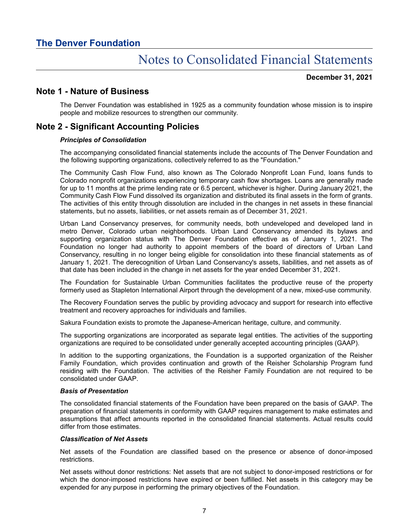### **December 31, 2021**

### **Note 1 - Nature of Business**

The Denver Foundation was established in 1925 as a community foundation whose mission is to inspire people and mobilize resources to strengthen our community.

## **Note 2 - Significant Accounting Policies**

#### *Principles of Consolidation*

The accompanying consolidated financial statements include the accounts of The Denver Foundation and the following supporting organizations, collectively referred to as the "Foundation."

The Community Cash Flow Fund, also known as The Colorado Nonprofit Loan Fund, loans funds to Colorado nonprofit organizations experiencing temporary cash flow shortages. Loans are generally made for up to 11 months at the prime lending rate or 6.5 percent, whichever is higher. During January 2021, the Community Cash Flow Fund dissolved its organization and distributed its final assets in the form of grants. The activities of this entity through dissolution are included in the changes in net assets in these financial statements, but no assets, liabilities, or net assets remain as of December 31, 2021.

Urban Land Conservancy preserves, for community needs, both undeveloped and developed land in metro Denver, Colorado urban neighborhoods. Urban Land Conservancy amended its bylaws and supporting organization status with The Denver Foundation effective as of January 1, 2021. The Foundation no longer had authority to appoint members of the board of directors of Urban Land Conservancy, resulting in no longer being eligible for consolidation into these financial statements as of January 1, 2021. The derecognition of Urban Land Conservancy's assets, liabilities, and net assets as of that date has been included in the change in net assets for the year ended December 31, 2021.

The Foundation for Sustainable Urban Communities facilitates the productive reuse of the property formerly used as Stapleton International Airport through the development of a new, mixed-use community.

The Recovery Foundation serves the public by providing advocacy and support for research into effective treatment and recovery approaches for individuals and families.

Sakura Foundation exists to promote the Japanese-American heritage, culture, and community.

The supporting organizations are incorporated as separate legal entities. The activities of the supporting organizations are required to be consolidated under generally accepted accounting principles (GAAP).

In addition to the supporting organizations, the Foundation is a supported organization of the Reisher Family Foundation, which provides continuation and growth of the Reisher Scholarship Program fund residing with the Foundation. The activities of the Reisher Family Foundation are not required to be consolidated under GAAP.

#### *Basis of Presentation*

The consolidated financial statements of the Foundation have been prepared on the basis of GAAP. The preparation of financial statements in conformity with GAAP requires management to make estimates and assumptions that affect amounts reported in the consolidated financial statements. Actual results could differ from those estimates.

#### *Classification of Net Assets*

Net assets of the Foundation are classified based on the presence or absence of donor-imposed restrictions.

Net assets without donor restrictions: Net assets that are not subject to donor-imposed restrictions or for which the donor-imposed restrictions have expired or been fulfilled. Net assets in this category may be expended for any purpose in performing the primary objectives of the Foundation.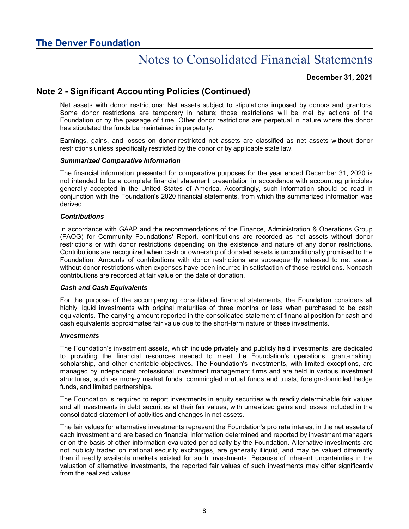### **December 31, 2021**

## **Note 2 - Significant Accounting Policies (Continued)**

Net assets with donor restrictions: Net assets subject to stipulations imposed by donors and grantors. Some donor restrictions are temporary in nature; those restrictions will be met by actions of the Foundation or by the passage of time. Other donor restrictions are perpetual in nature where the donor has stipulated the funds be maintained in perpetuity.

Earnings, gains, and losses on donor-restricted net assets are classified as net assets without donor restrictions unless specifically restricted by the donor or by applicable state law.

#### *Summarized Comparative Information*

The financial information presented for comparative purposes for the year ended December 31, 2020 is not intended to be a complete financial statement presentation in accordance with accounting principles generally accepted in the United States of America. Accordingly, such information should be read in conjunction with the Foundation's 2020 financial statements, from which the summarized information was derived.

#### *Contributions*

In accordance with GAAP and the recommendations of the Finance, Administration & Operations Group (FAOG) for Community Foundations' Report, contributions are recorded as net assets without donor restrictions or with donor restrictions depending on the existence and nature of any donor restrictions. Contributions are recognized when cash or ownership of donated assets is unconditionally promised to the Foundation. Amounts of contributions with donor restrictions are subsequently released to net assets without donor restrictions when expenses have been incurred in satisfaction of those restrictions. Noncash contributions are recorded at fair value on the date of donation.

#### *Cash and Cash Equivalents*

For the purpose of the accompanying consolidated financial statements, the Foundation considers all highly liquid investments with original maturities of three months or less when purchased to be cash equivalents. The carrying amount reported in the consolidated statement of financial position for cash and cash equivalents approximates fair value due to the short-term nature of these investments.

#### *Investments*

The Foundation's investment assets, which include privately and publicly held investments, are dedicated to providing the financial resources needed to meet the Foundation's operations, grant-making, scholarship, and other charitable objectives. The Foundation's investments, with limited exceptions, are managed by independent professional investment management firms and are held in various investment structures, such as money market funds, commingled mutual funds and trusts, foreign-domiciled hedge funds, and limited partnerships.

The Foundation is required to report investments in equity securities with readily determinable fair values and all investments in debt securities at their fair values, with unrealized gains and losses included in the consolidated statement of activities and changes in net assets.

The fair values for alternative investments represent the Foundation's pro rata interest in the net assets of each investment and are based on financial information determined and reported by investment managers or on the basis of other information evaluated periodically by the Foundation. Alternative investments are not publicly traded on national security exchanges, are generally illiquid, and may be valued differently than if readily available markets existed for such investments. Because of inherent uncertainties in the valuation of alternative investments, the reported fair values of such investments may differ significantly from the realized values.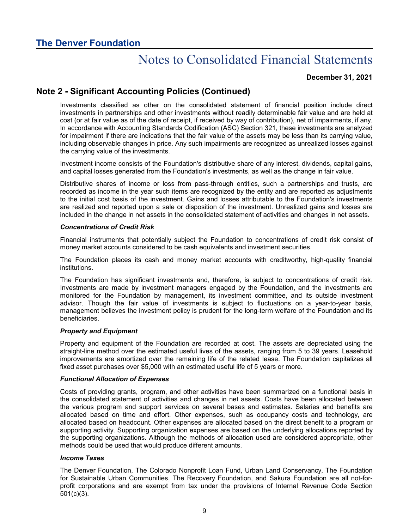### **December 31, 2021**

## **Note 2 - Significant Accounting Policies (Continued)**

Investments classified as other on the consolidated statement of financial position include direct investments in partnerships and other investments without readily determinable fair value and are held at cost (or at fair value as of the date of receipt, if received by way of contribution), net of impairments, if any. In accordance with Accounting Standards Codification (ASC) Section 321, these investments are analyzed for impairment if there are indications that the fair value of the assets may be less than its carrying value, including observable changes in price. Any such impairments are recognized as unrealized losses against the carrying value of the investments.

Investment income consists of the Foundation's distributive share of any interest, dividends, capital gains, and capital losses generated from the Foundation's investments, as well as the change in fair value.

Distributive shares of income or loss from pass-through entities, such a partnerships and trusts, are recorded as income in the year such items are recognized by the entity and are reported as adjustments to the initial cost basis of the investment. Gains and losses attributable to the Foundation's investments are realized and reported upon a sale or disposition of the investment. Unrealized gains and losses are included in the change in net assets in the consolidated statement of activities and changes in net assets.

#### *Concentrations of Credit Risk*

Financial instruments that potentially subject the Foundation to concentrations of credit risk consist of money market accounts considered to be cash equivalents and investment securities.

The Foundation places its cash and money market accounts with creditworthy, high-quality financial institutions.

The Foundation has significant investments and, therefore, is subject to concentrations of credit risk. Investments are made by investment managers engaged by the Foundation, and the investments are monitored for the Foundation by management, its investment committee, and its outside investment advisor. Though the fair value of investments is subject to fluctuations on a year-to-year basis, management believes the investment policy is prudent for the long-term welfare of the Foundation and its beneficiaries.

#### *Property and Equipment*

Property and equipment of the Foundation are recorded at cost. The assets are depreciated using the straight-line method over the estimated useful lives of the assets, ranging from 5 to 39 years. Leasehold improvements are amortized over the remaining life of the related lease. The Foundation capitalizes all fixed asset purchases over \$5,000 with an estimated useful life of 5 years or more.

#### *Functional Allocation of Expenses*

Costs of providing grants, program, and other activities have been summarized on a functional basis in the consolidated statement of activities and changes in net assets. Costs have been allocated between the various program and support services on several bases and estimates. Salaries and benefits are allocated based on time and effort. Other expenses, such as occupancy costs and technology, are allocated based on headcount. Other expenses are allocated based on the direct benefit to a program or supporting activity. Supporting organization expenses are based on the underlying allocations reported by the supporting organizations. Although the methods of allocation used are considered appropriate, other methods could be used that would produce different amounts.

#### *Income Taxes*

The Denver Foundation, The Colorado Nonprofit Loan Fund, Urban Land Conservancy, The Foundation for Sustainable Urban Communities, The Recovery Foundation, and Sakura Foundation are all not-forprofit corporations and are exempt from tax under the provisions of Internal Revenue Code Section 501(c)(3).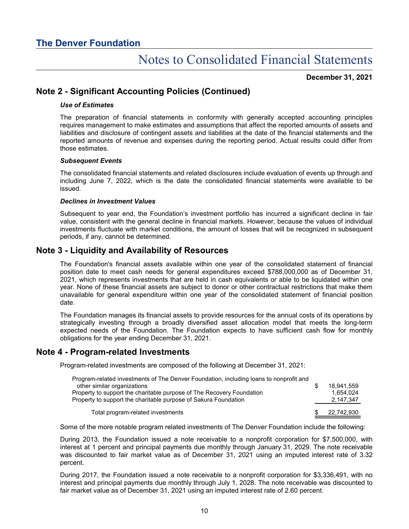#### **December 31, 2021**

## **Note 2 - Significant Accounting Policies (Continued)**

#### *Use of Estimates*

The preparation of financial statements in conformity with generally accepted accounting principles requires management to make estimates and assumptions that affect the reported amounts of assets and liabilities and disclosure of contingent assets and liabilities at the date of the financial statements and the reported amounts of revenue and expenses during the reporting period. Actual results could differ from those estimates.

#### *Subsequent Events*

The consolidated financial statements and related disclosures include evaluation of events up through and including June 7, 2022, which is the date the consolidated financial statements were available to be issued.

#### *Declines in Investment Values*

Subsequent to year end, the Foundation's investment portfolio has incurred a significant decline in fair value, consistent with the general decline in financial markets. However, because the values of individual investments fluctuate with market conditions, the amount of losses that will be recognized in subsequent periods, if any, cannot be determined.

## **Note 3 - Liquidity and Availability of Resources**

The Foundation's financial assets available within one year of the consolidated statement of financial position date to meet cash needs for general expenditures exceed \$788,000,000 as of December 31, 2021, which represents investments that are held in cash equivalents or able to be liquidated within one year. None of these financial assets are subject to donor or other contractual restrictions that make them unavailable for general expenditure within one year of the consolidated statement of financial position date.

The Foundation manages its financial assets to provide resources for the annual costs of its operations by strategically investing through a broadly diversified asset allocation model that meets the long-term expected needs of the Foundation. The Foundation expects to have sufficient cash flow for monthly obligations for the year ending December 31, 2021.

### **Note 4 - Program-related Investments**

Program-related investments are composed of the following at December 31, 2021:

| Program-related investments of The Denver Foundation, including loans to nonprofit and<br>other similar organizations<br>Property to support the charitable purpose of The Recovery Foundation<br>Property to support the charitable purpose of Sakura Foundation |     | 18.941.559<br>1.654.024<br>2,147,347 |
|-------------------------------------------------------------------------------------------------------------------------------------------------------------------------------------------------------------------------------------------------------------------|-----|--------------------------------------|
| Total program-related investments                                                                                                                                                                                                                                 | -SG | 22.742.930                           |

Some of the more notable program related investments of The Denver Foundation include the following:

During 2013, the Foundation issued a note receivable to a nonprofit corporation for \$7,500,000, with interest at 1 percent and principal payments due monthly through January 31, 2029. The note receivable was discounted to fair market value as of December 31, 2021 using an imputed interest rate of 3.32 percent.

During 2017, the Foundation issued a note receivable to a nonprofit corporation for \$3,336,491, with no interest and principal payments due monthly through July 1, 2028. The note receivable was discounted to fair market value as of December 31, 2021 using an imputed interest rate of 2.60 percent.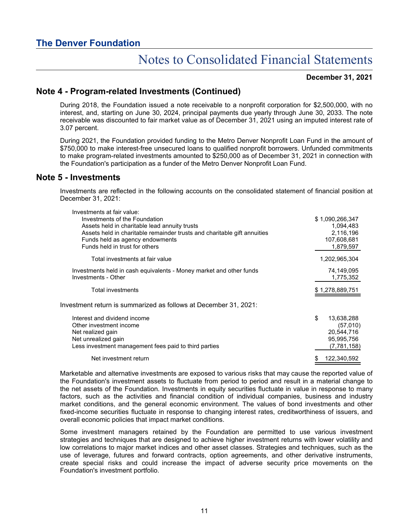### **December 31, 2021**

## **Note 4 - Program-related Investments (Continued)**

During 2018, the Foundation issued a note receivable to a nonprofit corporation for \$2,500,000, with no interest, and, starting on June 30, 2024, principal payments due yearly through June 30, 2033. The note receivable was discounted to fair market value as of December 31, 2021 using an imputed interest rate of 3.07 percent.

During 2021, the Foundation provided funding to the Metro Denver Nonprofit Loan Fund in the amount of \$750,000 to make interest-free unsecured loans to qualified nonprofit borrowers. Unfunded commitments to make program-related investments amounted to \$250,000 as of December 31, 2021 in connection with the Foundation's participation as a funder of the Metro Denver Nonprofit Loan Fund.

### **Note 5 - Investments**

Investments are reflected in the following accounts on the consolidated statement of financial position at December 31, 2021:

| Investments at fair value:<br>Investments of the Foundation<br>Assets held in charitable lead annuity trusts<br>Assets held in charitable remainder trusts and charitable gift annuities | \$1,090,266,347<br>1,094,483<br>2,116,196                               |
|------------------------------------------------------------------------------------------------------------------------------------------------------------------------------------------|-------------------------------------------------------------------------|
| Funds held as agency endowments<br>Funds held in trust for others                                                                                                                        | 107,608,681<br>1,879,597                                                |
| Total investments at fair value                                                                                                                                                          | 1,202,965,304                                                           |
| Investments held in cash equivalents - Money market and other funds<br>Investments - Other                                                                                               | 74,149,095<br>1,775,352                                                 |
| <b>Total investments</b>                                                                                                                                                                 | \$1,278,889,751                                                         |
| Investment return is summarized as follows at December 31, 2021:                                                                                                                         |                                                                         |
| Interest and dividend income<br>Other investment income<br>Net realized gain<br>Net unrealized gain<br>Less investment management fees paid to third parties                             | \$<br>13,638,288<br>(57,010)<br>20,544,716<br>95,995,756<br>(7,781,158) |
| Net investment return                                                                                                                                                                    | 122,340,592                                                             |

Marketable and alternative investments are exposed to various risks that may cause the reported value of the Foundation's investment assets to fluctuate from period to period and result in a material change to the net assets of the Foundation. Investments in equity securities fluctuate in value in response to many factors, such as the activities and financial condition of individual companies, business and industry market conditions, and the general economic environment. The values of bond investments and other fixed-income securities fluctuate in response to changing interest rates, creditworthiness of issuers, and overall economic policies that impact market conditions.

Some investment managers retained by the Foundation are permitted to use various investment strategies and techniques that are designed to achieve higher investment returns with lower volatility and low correlations to major market indices and other asset classes. Strategies and techniques, such as the use of leverage, futures and forward contracts, option agreements, and other derivative instruments, create special risks and could increase the impact of adverse security price movements on the Foundation's investment portfolio.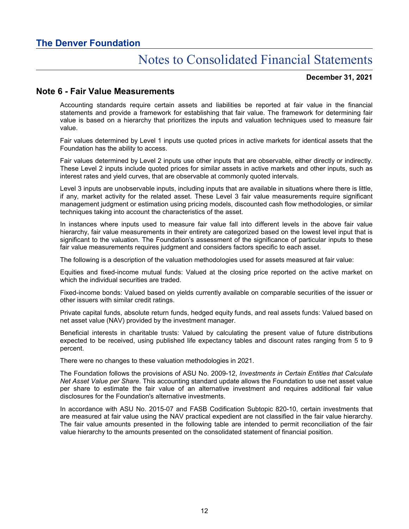### **December 31, 2021**

## **Note 6 - Fair Value Measurements**

Accounting standards require certain assets and liabilities be reported at fair value in the financial statements and provide a framework for establishing that fair value. The framework for determining fair value is based on a hierarchy that prioritizes the inputs and valuation techniques used to measure fair value.

Fair values determined by Level 1 inputs use quoted prices in active markets for identical assets that the Foundation has the ability to access.

Fair values determined by Level 2 inputs use other inputs that are observable, either directly or indirectly. These Level 2 inputs include quoted prices for similar assets in active markets and other inputs, such as interest rates and yield curves, that are observable at commonly quoted intervals.

Level 3 inputs are unobservable inputs, including inputs that are available in situations where there is little, if any, market activity for the related asset. These Level 3 fair value measurements require significant management judgment or estimation using pricing models, discounted cash flow methodologies, or similar techniques taking into account the characteristics of the asset.

In instances where inputs used to measure fair value fall into different levels in the above fair value hierarchy, fair value measurements in their entirety are categorized based on the lowest level input that is significant to the valuation. The Foundation's assessment of the significance of particular inputs to these fair value measurements requires judgment and considers factors specific to each asset.

The following is a description of the valuation methodologies used for assets measured at fair value:

Equities and fixed-income mutual funds: Valued at the closing price reported on the active market on which the individual securities are traded.

Fixed-income bonds: Valued based on yields currently available on comparable securities of the issuer or other issuers with similar credit ratings.

Private capital funds, absolute return funds, hedged equity funds, and real assets funds: Valued based on net asset value (NAV) provided by the investment manager.

Beneficial interests in charitable trusts: Valued by calculating the present value of future distributions expected to be received, using published life expectancy tables and discount rates ranging from 5 to 9 percent.

There were no changes to these valuation methodologies in 2021.

The Foundation follows the provisions of ASU No. 2009-12, *Investments in Certain Entities that Calculate Net Asset Value per Share*. This accounting standard update allows the Foundation to use net asset value per share to estimate the fair value of an alternative investment and requires additional fair value disclosures for the Foundation's alternative investments.

In accordance with ASU No. 2015-07 and FASB Codification Subtopic 820-10, certain investments that are measured at fair value using the NAV practical expedient are not classified in the fair value hierarchy. The fair value amounts presented in the following table are intended to permit reconciliation of the fair value hierarchy to the amounts presented on the consolidated statement of financial position.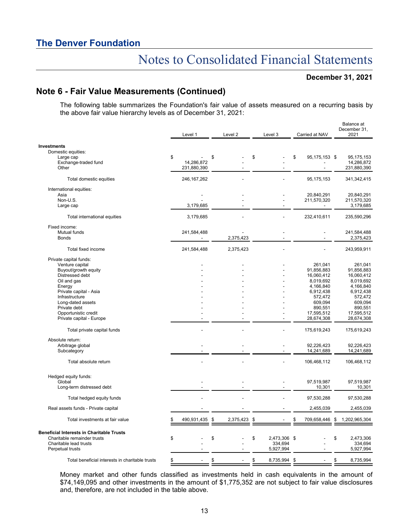### **December 31, 2021**

## **Note 6 - Fair Value Measurements (Continued)**

The following table summarizes the Foundation's fair value of assets measured on a recurring basis by the above fair value hierarchy levels as of December 31, 2021:

|                                                  | Level 1       | Level <sub>2</sub>       | Level 3         |      | Carried at NAV         | Balance at<br>December 31,<br>2021 |
|--------------------------------------------------|---------------|--------------------------|-----------------|------|------------------------|------------------------------------|
| <b>Investments</b>                               |               |                          |                 |      |                        |                                    |
| Domestic equities:                               |               |                          |                 |      |                        |                                    |
| Large cap                                        | \$            | \$                       | \$              | \$   | 95,175,153 \$          | 95, 175, 153                       |
| Exchange-traded fund                             | 14,286,872    |                          |                 |      |                        | 14,286,872                         |
| Other                                            | 231,880,390   |                          |                 |      |                        | 231,880,390                        |
| Total domestic equities                          | 246, 167, 262 |                          |                 |      | 95.175.153             | 341,342,415                        |
| International equities:                          |               |                          |                 |      |                        |                                    |
| Asia                                             |               |                          |                 |      | 20,840,291             | 20,840,291                         |
| Non-U.S.                                         |               |                          |                 |      | 211,570,320            | 211,570,320                        |
| Large cap                                        | 3,179,685     |                          |                 |      | $\blacksquare$         | 3,179,685                          |
| Total international equities                     | 3,179,685     |                          |                 |      | 232,410,611            | 235,590,296                        |
| Fixed income:                                    |               |                          |                 |      |                        |                                    |
| Mutual funds                                     | 241,584,488   |                          |                 |      |                        | 241,584,488                        |
| <b>Bonds</b>                                     |               | 2,375,423                |                 |      | $\overline{a}$         | 2,375,423                          |
| Total fixed income                               | 241,584,488   | 2,375,423                |                 |      |                        | 243,959,911                        |
| Private capital funds:                           |               |                          |                 |      |                        |                                    |
| Venture capital                                  |               |                          |                 |      | 261,041                | 261,041                            |
| Buyout/growth equity                             |               |                          |                 |      | 91,856,883             | 91,856,883                         |
| Distressed debt                                  |               |                          |                 |      | 16,060,412             | 16,060,412                         |
| Oil and gas<br>Energy                            |               |                          |                 |      | 8,019,692<br>4,166,840 | 8,019,692<br>4,166,840             |
| Private capital - Asia                           |               |                          |                 |      | 6,912,438              | 6,912,438                          |
| Infrastructure                                   |               |                          |                 |      | 572,472                | 572,472                            |
| Long-dated assets                                |               |                          |                 |      | 609,094                | 609,094                            |
| Private debt                                     |               |                          |                 |      | 890,551                | 890,551                            |
| Opportunistic credit                             |               |                          |                 |      | 17,595,512             | 17,595,512                         |
| Private capital - Europe                         |               | $\overline{\phantom{a}}$ |                 |      | 28,674,308             | 28,674,308                         |
| Total private capital funds                      |               |                          |                 |      | 175,619,243            | 175,619,243                        |
| Absolute return:                                 |               |                          |                 |      |                        |                                    |
| Arbitrage global                                 |               |                          |                 |      | 92,226,423             | 92,226,423                         |
| Subcategory                                      |               |                          |                 |      | 14,241,689             | 14,241,689                         |
| Total absolute return                            |               |                          |                 |      | 106,468,112            | 106,468,112                        |
| Hedged equity funds:                             |               |                          |                 |      |                        |                                    |
| Global                                           |               |                          |                 |      | 97,519,987             | 97,519,987                         |
| Long-term distressed debt                        |               |                          |                 |      | 10,301                 | 10,301                             |
| Total hedged equity funds                        |               |                          |                 |      | 97,530,288             | 97,530,288                         |
| Real assets funds - Private capital              |               |                          |                 |      | 2,455,039              | 2,455,039                          |
| Total investments at fair value                  | 490,931,435   | \$<br>2,375,423          | \$              | \$   | 709,658,446            | \$<br>1,202,965,304                |
| <b>Beneficial Interests in Charitable Trusts</b> |               |                          |                 |      |                        |                                    |
| Charitable remainder trusts                      | \$            | \$                       | \$<br>2,473,306 | - \$ |                        | \$<br>2,473,306                    |
| Charitable lead trusts                           |               |                          | 334,694         |      |                        | 334,694                            |
| Perpetual trusts                                 |               |                          | 5,927,994       |      |                        | 5,927,994                          |
|                                                  |               |                          |                 |      |                        |                                    |
| Total beneficial interests in charitable trusts  | \$            | \$                       | \$<br>8,735,994 | \$   |                        | \$<br>8,735,994                    |

Money market and other funds classified as investments held in cash equivalents in the amount of \$74,149,095 and other investments in the amount of \$1,775,352 are not subject to fair value disclosures and, therefore, are not included in the table above.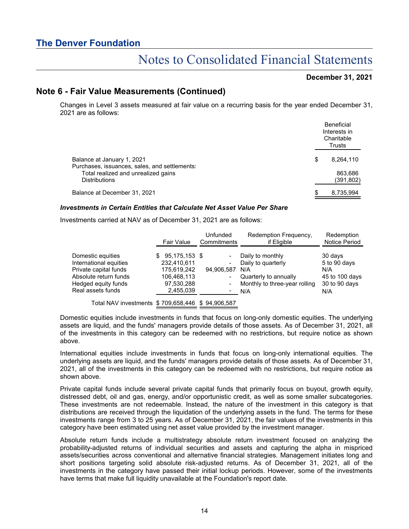### **December 31, 2021**

## **Note 6 - Fair Value Measurements (Continued)**

Changes in Level 3 assets measured at fair value on a recurring basis for the year ended December 31, 2021 are as follows:

|                                                                             |   | <b>Beneficial</b><br>Interests in<br>Charitable<br>Trusts |
|-----------------------------------------------------------------------------|---|-----------------------------------------------------------|
| Balance at January 1, 2021<br>Purchases, issuances, sales, and settlements: | S | 8,264,110                                                 |
| Total realized and unrealized gains<br><b>Distributions</b>                 |   | 863,686<br>(391, 802)                                     |
| Balance at December 31, 2021                                                |   | 8,735,994                                                 |

#### *Investments in Certain Entities that Calculate Net Asset Value Per Share*

Investments carried at NAV as of December 31, 2021 are as follows:

|                                                                       | Fair Value                 | Unfunded<br>Commitments                    | Redemption Frequency,<br>if Eligible                   | Redemption<br>Notice Period     |
|-----------------------------------------------------------------------|----------------------------|--------------------------------------------|--------------------------------------------------------|---------------------------------|
| Domestic equities                                                     | 95,175,153 \$<br>SS.       | $\blacksquare$                             | Daily to monthly                                       | 30 days                         |
| International equities<br>Private capital funds                       | 232,410,611<br>175,619,242 | $\blacksquare$<br>94,906,587               | Daily to quarterly<br>N/A                              | 5 to 90 days<br>N/A             |
| Absolute return funds<br>Hedged equity funds                          | 106,468,113<br>97,530,288  | $\overline{\phantom{a}}$<br>$\blacksquare$ | Quarterly to annually<br>Monthly to three-year rolling | 45 to 100 days<br>30 to 90 days |
| Real assets funds<br>Total NAV investments \$709,658,446 \$94,906,587 | 2,455,039                  |                                            | - N/A                                                  | N/A                             |

Domestic equities include investments in funds that focus on long-only domestic equities. The underlying assets are liquid, and the funds' managers provide details of those assets. As of December 31, 2021, all of the investments in this category can be redeemed with no restrictions, but require notice as shown above.

International equities include investments in funds that focus on long-only international equities. The underlying assets are liquid, and the funds' managers provide details of those assets. As of December 31, 2021, all of the investments in this category can be redeemed with no restrictions, but require notice as shown above.

Private capital funds include several private capital funds that primarily focus on buyout, growth equity, distressed debt, oil and gas, energy, and/or opportunistic credit, as well as some smaller subcategories. These investments are not redeemable. Instead, the nature of the investment in this category is that distributions are received through the liquidation of the underlying assets in the fund. The terms for these investments range from 3 to 25 years. As of December 31, 2021, the fair values of the investments in this category have been estimated using net asset value provided by the investment manager.

Absolute return funds include a multistrategy absolute return investment focused on analyzing the probability-adjusted returns of individual securities and assets and capturing the alpha in mispriced assets/securities across conventional and alternative financial strategies. Management initiates long and short positions targeting solid absolute risk-adjusted returns. As of December 31, 2021, all of the investments in the category have passed their initial lockup periods. However, some of the investments have terms that make full liquidity unavailable at the Foundation's report date.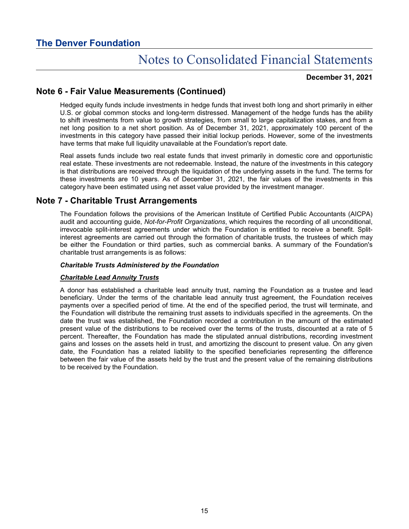### **December 31, 2021**

## **Note 6 - Fair Value Measurements (Continued)**

Hedged equity funds include investments in hedge funds that invest both long and short primarily in either U.S. or global common stocks and long-term distressed. Management of the hedge funds has the ability to shift investments from value to growth strategies, from small to large capitalization stakes, and from a net long position to a net short position. As of December 31, 2021, approximately 100 percent of the investments in this category have passed their initial lockup periods. However, some of the investments have terms that make full liquidity unavailable at the Foundation's report date.

Real assets funds include two real estate funds that invest primarily in domestic core and opportunistic real estate. These investments are not redeemable. Instead, the nature of the investments in this category is that distributions are received through the liquidation of the underlying assets in the fund. The terms for these investments are 10 years. As of December 31, 2021, the fair values of the investments in this category have been estimated using net asset value provided by the investment manager.

## **Note 7 - Charitable Trust Arrangements**

The Foundation follows the provisions of the American Institute of Certified Public Accountants (AICPA) audit and accounting guide, *Not-for-Profit Organizations*, which requires the recording of all unconditional, irrevocable split-interest agreements under which the Foundation is entitled to receive a benefit. Splitinterest agreements are carried out through the formation of charitable trusts, the trustees of which may be either the Foundation or third parties, such as commercial banks. A summary of the Foundation's charitable trust arrangements is as follows:

### *Charitable Trusts Administered by the Foundation*

### *Charitable Lead Annuity Trusts*

A donor has established a charitable lead annuity trust, naming the Foundation as a trustee and lead beneficiary. Under the terms of the charitable lead annuity trust agreement, the Foundation receives payments over a specified period of time. At the end of the specified period, the trust will terminate, and the Foundation will distribute the remaining trust assets to individuals specified in the agreements. On the date the trust was established, the Foundation recorded a contribution in the amount of the estimated present value of the distributions to be received over the terms of the trusts, discounted at a rate of 5 percent. Thereafter, the Foundation has made the stipulated annual distributions, recording investment gains and losses on the assets held in trust, and amortizing the discount to present value. On any given date, the Foundation has a related liability to the specified beneficiaries representing the difference between the fair value of the assets held by the trust and the present value of the remaining distributions to be received by the Foundation.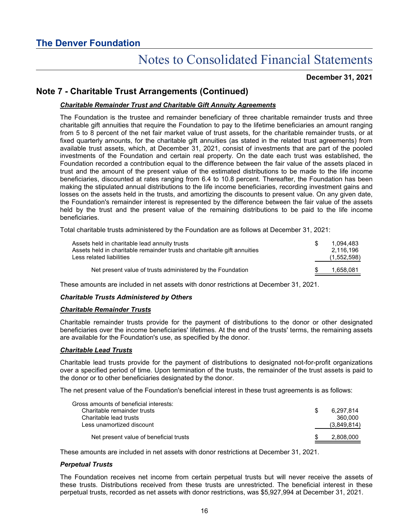### **December 31, 2021**

## **Note 7 - Charitable Trust Arrangements (Continued)**

### *Charitable Remainder Trust and Charitable Gift Annuity Agreements*

The Foundation is the trustee and remainder beneficiary of three charitable remainder trusts and three charitable gift annuities that require the Foundation to pay to the lifetime beneficiaries an amount ranging from 5 to 8 percent of the net fair market value of trust assets, for the charitable remainder trusts, or at fixed quarterly amounts, for the charitable gift annuities (as stated in the related trust agreements) from available trust assets, which, at December 31, 2021, consist of investments that are part of the pooled investments of the Foundation and certain real property. On the date each trust was established, the Foundation recorded a contribution equal to the difference between the fair value of the assets placed in trust and the amount of the present value of the estimated distributions to be made to the life income beneficiaries, discounted at rates ranging from 6.4 to 10.8 percent. Thereafter, the Foundation has been making the stipulated annual distributions to the life income beneficiaries, recording investment gains and losses on the assets held in the trusts, and amortizing the discounts to present value. On any given date, the Foundation's remainder interest is represented by the difference between the fair value of the assets held by the trust and the present value of the remaining distributions to be paid to the life income beneficiaries.

Total charitable trusts administered by the Foundation are as follows at December 31, 2021:

| Assets held in charitable lead annuity trusts<br>Assets held in charitable remainder trusts and charitable gift annuities<br>Less related liabilities | 1.094.483<br>2.116.196<br>(1,552,598) |
|-------------------------------------------------------------------------------------------------------------------------------------------------------|---------------------------------------|
| Net present value of trusts administered by the Foundation                                                                                            | 1.658.081                             |

These amounts are included in net assets with donor restrictions at December 31, 2021.

#### *Charitable Trusts Administered by Others*

#### *Charitable Remainder Trusts*

Charitable remainder trusts provide for the payment of distributions to the donor or other designated beneficiaries over the income beneficiaries' lifetimes. At the end of the trusts' terms, the remaining assets are available for the Foundation's use, as specified by the donor.

#### *Charitable Lead Trusts*

Charitable lead trusts provide for the payment of distributions to designated not-for-profit organizations over a specified period of time. Upon termination of the trusts, the remainder of the trust assets is paid to the donor or to other beneficiaries designated by the donor.

The net present value of the Foundation's beneficial interest in these trust agreements is as follows:

| Gross amounts of beneficial interests: |             |
|----------------------------------------|-------------|
| Charitable remainder trusts            | 6.297.814   |
| Charitable lead trusts                 | 360,000     |
| Less unamortized discount              | (3,849,814) |
| Net present value of beneficial trusts | 2.808.000   |

These amounts are included in net assets with donor restrictions at December 31, 2021.

#### *Perpetual Trusts*

The Foundation receives net income from certain perpetual trusts but will never receive the assets of these trusts. Distributions received from these trusts are unrestricted. The beneficial interest in these perpetual trusts, recorded as net assets with donor restrictions, was \$5,927,994 at December 31, 2021.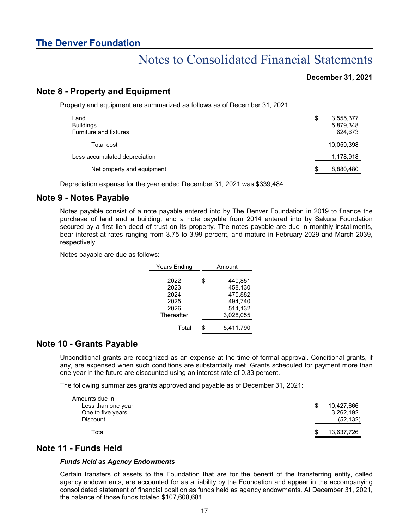## Notes to Consolidated Financial Statements

### **December 31, 2021**

## **Note 8 - Property and Equipment**

Property and equipment are summarized as follows as of December 31, 2021:

| Land<br><b>Buildings</b><br>Furniture and fixtures | \$<br>3,555,377<br>5,879,348<br>624,673 |
|----------------------------------------------------|-----------------------------------------|
| Total cost                                         | 10,059,398                              |
| Less accumulated depreciation                      | 1,178,918                               |
| Net property and equipment                         | 8,880,480                               |

Depreciation expense for the year ended December 31, 2021 was \$339,484.

### **Note 9 - Notes Payable**

Notes payable consist of a note payable entered into by The Denver Foundation in 2019 to finance the purchase of land and a building, and a note payable from 2014 entered into by Sakura Foundation secured by a first lien deed of trust on its property. The notes payable are due in monthly installments, bear interest at rates ranging from 3.75 to 3.99 percent, and mature in February 2029 and March 2039, respectively.

Notes payable are due as follows:

| Years Ending | Amount        |  |  |  |  |
|--------------|---------------|--|--|--|--|
|              |               |  |  |  |  |
| 2022         | \$<br>440,851 |  |  |  |  |
| 2023         | 458,130       |  |  |  |  |
| 2024         | 475,882       |  |  |  |  |
| 2025         | 494.740       |  |  |  |  |
| 2026         | 514,132       |  |  |  |  |
| Thereafter   | 3,028,055     |  |  |  |  |
|              |               |  |  |  |  |
| Total        | 5,411,790     |  |  |  |  |
|              |               |  |  |  |  |

### **Note 10 - Grants Payable**

Unconditional grants are recognized as an expense at the time of formal approval. Conditional grants, if any, are expensed when such conditions are substantially met. Grants scheduled for payment more than one year in the future are discounted using an interest rate of 0.33 percent.

The following summarizes grants approved and payable as of December 31, 2021:

| Amounts due in:    |            |
|--------------------|------------|
| Less than one year | 10,427,666 |
| One to five years  | 3.262.192  |
| <b>Discount</b>    | (52, 132)  |
| Total              | 13,637,726 |
|                    |            |

## **Note 11 - Funds Held**

#### *Funds Held as Agency Endowments*

Certain transfers of assets to the Foundation that are for the benefit of the transferring entity, called agency endowments, are accounted for as a liability by the Foundation and appear in the accompanying consolidated statement of financial position as funds held as agency endowments. At December 31, 2021, the balance of those funds totaled \$107,608,681.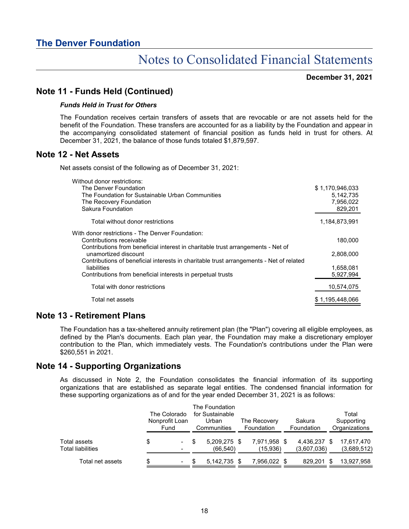### **December 31, 2021**

## **Note 11 - Funds Held (Continued)**

### *Funds Held in Trust for Others*

The Foundation receives certain transfers of assets that are revocable or are not assets held for the benefit of the Foundation. These transfers are accounted for as a liability by the Foundation and appear in the accompanying consolidated statement of financial position as funds held in trust for others. At December 31, 2021, the balance of those funds totaled \$1,879,597.

### **Note 12 - Net Assets**

Net assets consist of the following as of December 31, 2021:

| Without donor restrictions:                                                             |                 |
|-----------------------------------------------------------------------------------------|-----------------|
| The Denver Foundation                                                                   | \$1,170,946,033 |
| The Foundation for Sustainable Urban Communities                                        | 5,142,735       |
| The Recovery Foundation                                                                 | 7,956,022       |
| Sakura Foundation                                                                       | 829,201         |
| Total without donor restrictions                                                        | 1,184,873,991   |
| With donor restrictions - The Denver Foundation:                                        |                 |
| Contributions receivable                                                                | 180,000         |
| Contributions from beneficial interest in charitable trust arrangements - Net of        |                 |
| unamortized discount                                                                    | 2,808,000       |
| Contributions of beneficial interests in charitable trust arrangements - Net of related |                 |
| liabilities                                                                             | 1,658,081       |
| Contributions from beneficial interests in perpetual trusts                             | 5.927.994       |
| Total with donor restrictions                                                           | 10,574,075      |
| Total net assets                                                                        | \$1,195,448,066 |
|                                                                                         |                 |

## **Note 13 - Retirement Plans**

The Foundation has a tax-sheltered annuity retirement plan (the "Plan") covering all eligible employees, as defined by the Plan's documents. Each plan year, the Foundation may make a discretionary employer contribution to the Plan, which immediately vests. The Foundation's contributions under the Plan were \$260,551 in 2021.

## **Note 14 - Supporting Organizations**

As discussed in Note 2, the Foundation consolidates the financial information of its supporting organizations that are established as separate legal entities. The condensed financial information for these supporting organizations as of and for the year ended December 31, 2021 is as follows:

|                                          |    | The Colorado<br>Nonprofit Loan<br>Fund |  | The Foundation<br>for Sustainable<br>Urban<br>Communities |  | The Recovery<br>Foundation | Sakura<br>Foundation |                             | Total<br>Supporting<br>Organizations |                           |
|------------------------------------------|----|----------------------------------------|--|-----------------------------------------------------------|--|----------------------------|----------------------|-----------------------------|--------------------------------------|---------------------------|
| Total assets<br><b>Total liabilities</b> | S  |                                        |  | 5,209,275 \$<br>(66, 540)                                 |  | 7,971,958 \$<br>(15,936)   |                      | 4,436,237 \$<br>(3,607,036) |                                      | 17,617,470<br>(3,689,512) |
| Total net assets                         | \$ |                                        |  | 5,142,735                                                 |  | 7.956.022 \$               |                      | 829.201                     |                                      | 13,927,958                |